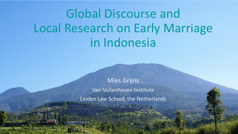Global Discourse and Local Research on Early Marriage in Indonesia

> Mies Grijns Van Vollenhoven Institute Leiden Law School, the Netherlands

> > Fire Mathematical and Professional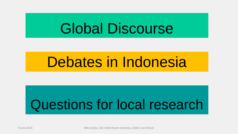# Global Discourse

# Debates in Indonesia

# Questions for local research

9 June 2015 Mies Grijns, Van Vollenhoven Institute, Leiden Law School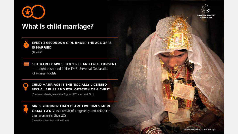

#### **What is child marriage?**



#### EVERY 3 SECONDS A GIRL UNDER THE AGE OF 18 **IS MARRIED**

(Plan UK)

SHE RARELY GIVES HER 'FREE AND FULL' CONSENT - a right enshrined in the 1948 Universal Declaration of Human Rights



#### **CHILD MARRIAGE IS THE 'SOCIALLY LICENSED** SEXUAL ABUSE AND EXPLOITATION OF A CHILD'

(Forum on Marriage and the Rights of Women and Girls)



**GIRLS YOUNGER THAN 15 ARE FIVE TIMES MORE LIKELY TO DIE** as a result of pregnancy and childbirth than women in their 20s (United Nations Population Fund)

 $\mathcal{P}(\mathcal{P})$  is a grid  $\mathcal{P}(\mathcal{P})$  and  $\mathcal{P}(\mathcal{P})$  and  $\mathcal{P}(\mathcal{P})$  and  $\mathcal{P}(\mathcal{P})$  and  $\mathcal{P}(\mathcal{P})$  and  $\mathcal{P}(\mathcal{P})$  and  $\mathcal{P}(\mathcal{P})$  and  $\mathcal{P}(\mathcal{P})$  and  $\mathcal{P}(\mathcal{P})$  and  $\mathcal{P}(\mathcal{P})$  and  $\mathcal{P$ 



**THOMSON REUTERS FOUNDATION**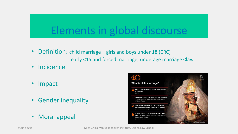### Elements in global discourse

- Definition: child marriage girls and boys under 18 (CRC) early <15 and forced marriage; underage marriage <law
- **Incidence**
- Impact
- Gender inequality
- Moral appeal

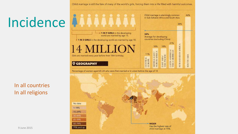# Incidence

#### In all countries In all religions

Child marriage is alarmingly common 46% in Sub-Saharan Africa and South Asia. 38% . 1 IN 9 GIRLS in the developing 34% world are married by age 15. Average for developing countries (excluding China) 1 IN 3 GIRLS in the developing world are married by age 18. 21% **SUB-SAHARAN AFRICA** 18% 18% 11% **NRV HJJOS** Girls are married every year before their 18th birthday. **NIRAL EUROPE Q GEOGRAPHY** 



Child marriage is still the fate of many of the world's girls, forcing them into a life filled with harmful outcomes.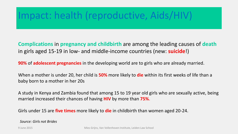### Impact: health (reproductive, Aids/HIV)

**Complications** in **pregnancy and childbirth** are among the leading causes of **death** in girls aged 15-19 in low- and middle-income countries (new: **suicide**!)

**90%** of **adolescent pregnancies** in the developing world are to girls who are already married.

When a mother is under 20, her child is **50%** more likely to **die** within its first weeks of life than a baby born to a mother in her 20s

A study in Kenya and Zambia found that among 15 to 19 year old girls who are sexually active, being married increased their chances of having **HIV** by more than **75%**.

Girls under 15 are **five times** more likely to **die** in childbirth than women aged 20-24.

 *Source: Girls not Brides*

*r*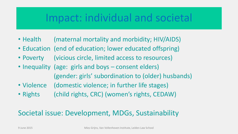### Impact: individual and societal

- Health (maternal mortality and morbidity; HIV/AIDS)
- Education (end of education; lower educated offspring)
- Poverty (vicious circle, limited access to resources)
- Inequality (age: girls and boys consent elders) (gender: girls' subordination to (older) husbands)
- Violence (domestic violence; in further life stages)
- Rights (child rights, CRC) (women's rights, CEDAW)

#### Societal issue: Development, MDGs, Sustainability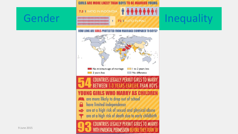# Gender Entertainment Politics Constant Parties and Mequality

GIRLS ARE MORE LIKELY THAN BOYS TO BE MARRIED YOUNG

**7.5:1 RATIO IN INDONESIA** 

#### **HOW LONG ARE GIRLS PROTECTED FROM MARRIAGE COMPARED TO BOYS?**



#### **LEGALLY PERMIT GIRLS TO MARRY BETWEEN 1-3 YEARS EARLIER THAN BOYS**

#### GIRLS WHO MARRY AS C

are more likely to drop out of school

have limited independence A

are at a high risk of sexual and physical abuse are at a high risk of death due to early childbirth

**TO MARRY** 9 June 2015 Mines 2015 Mines Grien Institute (New York) and Mines Griff Control of Mines and Law School and Mines and Mines and Mines and Mines and Mines and Mines and Mines and Mines and Mines and Mines and Mines and Mine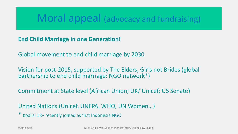### Moral appeal (advocacy and fundraising)

**End Child Marriage in one Generation!**

Global movement to end child marriage by 2030

Vision for post-2015, supported by The Elders, Girls not Brides (global partnership to end child marriage: NGO network\*)

Commitment at State level (African Union; UK/ Unicef; US Senate)

United Nations (Unicef, UNFPA, WHO, UN Women…)

\* Koalisi 18+ recently joined as first Indonesia NGO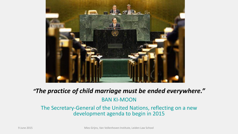

#### *"The practice of child marriage must be ended everywhere."*

#### BAN KI-MOON

#### The Secretary-General of the United Nations, reflecting on a new development agenda to begin in 2015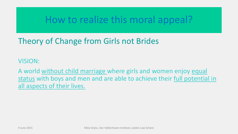### How to realize this moral appeal?

### Theory of Change from Girls not Brides

VISION:

A world without child marriage where girls and women enjoy equal status with boys and men and are able to achieve their full potential in all aspects of their lives.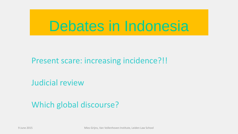## Debates in Indonesia

### Present scare: increasing incidence?!!

Judicial review

### Which global discourse?

9 June 2015 Mies Grijns, Van Vollenhoven Institute, Leiden Law School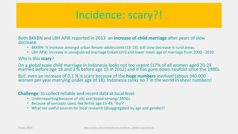### Incidence: scary?!

Both BKKBN and LBH APIK reported in 2013 an **increase of child marriage** after years of slow decrease.

- BKKBN: % increase amongst urban female adolescents (15-19), still slow decrease in rural areas.
- LBH APIK: increase in unregistered marriage (nikah sirri) and lower mean age of marriage from 2000 2010

#### Why is this **scary**?

On a global scale child marriage in Indonesia looks not too urgent (17% of all women aged 20-24 married before age 18 and 3  $\%$  before age 15 in 2012) and it has gone down twofold since the 1980s

But: even an increase of 0,1 % is scary because of the **huge numbers** involved (about 340.000 women per year marrying under age of 18). Indonesia ranks no 7 in the world in sheer numbers!

#### **Challenge**: to collect reliable and recent data at local level

- Underreporting because of aib; asal bapak senang/ MDGs
- Because of concepts used, like fertile age 15-49, 'ibu'?
- What are useful sources for local research (disaggregated by age and gender)?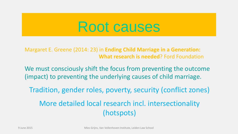## Root causes

Margaret E. Greene (2014: 23) in **Ending Child Marriage in a Generation: What research is needed**? Ford Foundation

We must consciously shift the focus from preventing the outcome (impact) to preventing the underlying causes of child marriage.

Tradition, gender roles, poverty, security (conflict zones)

More detailed local research incl. intersectionality (hotspots)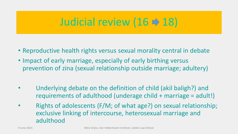### Judicial review (16  $\Rightarrow$  18)

- Reproductive health rights versus sexual morality central in debate
- Impact of early marriage, especially of early birthing versus prevention of zina (sexual relationship outside marriage; adultery)
- Underlying debate on the definition of child (akil baligh?) and requirements of adulthood (underage child + marriage = adult!)
- Rights of adolescents (F/M; of what age?) on sexual relationship; exclusive linking of intercourse, heterosexual marriage and adulthood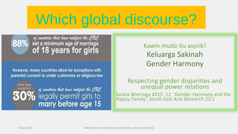# Which global discourse?

### of countries that have ratified the CRC<br>88% set a minimum age of marriage of 18 years for girls

However, many countries allow for exceptions with parental consent or under customary or religious law

**Under these** exceptions

of countries that have ratified the CRC<br>| legally permit girls to marry before age 15

Kawin muda itu asyiiik! Keluarga Sakinah Gender Harmony

#### Respecting gender disparities and unequal power relations

Saskia Wieringa 2015: 12 'Gender Harmony and the Happy Family', *South East Asia Research* 23:1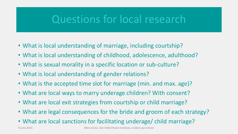### Questions for local research

- What is local understanding of marriage, including courtship?
- What is local understanding of childhood, adolescence, adulthood?
- What is sexual morality in a specific location or sub-culture?
- What is local understanding of gender relations?
- What is the accepted time slot for marriage (min. and max. age)?
- What are local ways to marry underage children? With consent?
- What are local exit strategies from courtship or child marriage?
- What are legal consequences for the bride and groom of each strategy?
- What are local sanctions for facilitating underage/ child marriage?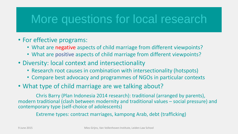### More questions for local research

- For effective programs:
	- What are negative aspects of child marriage from different viewpoints?
	- What are positive aspects of child marriage from different viewpoints?
- Diversity: local context and intersectionality
	- Research root causes in combination with intersectionality (hotspots)
	- Compare best advocacy and programmes of NGOs in particular contexts
- What type of child marriage are we talking about?

Chris Barry (Plan Indonesia 2014 research): traditional (arranged by parents), modern traditional (clash between modernity and traditional values – social pressure) and contemporary type (self-choice of adolescents)

Extreme types: contract marriages, kampong Arab, debt (trafficking)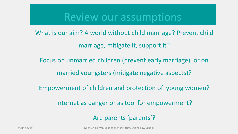### Review our assumptions

What is our aim? A world without child marriage? Prevent child marriage, mitigate it, support it?

Focus on unmarried children (prevent early marriage), or on

married youngsters (mitigate negative aspects)?

Empowerment of children and protection of young women?

Internet as danger or as tool for empowerment?

Are parents 'parents'?